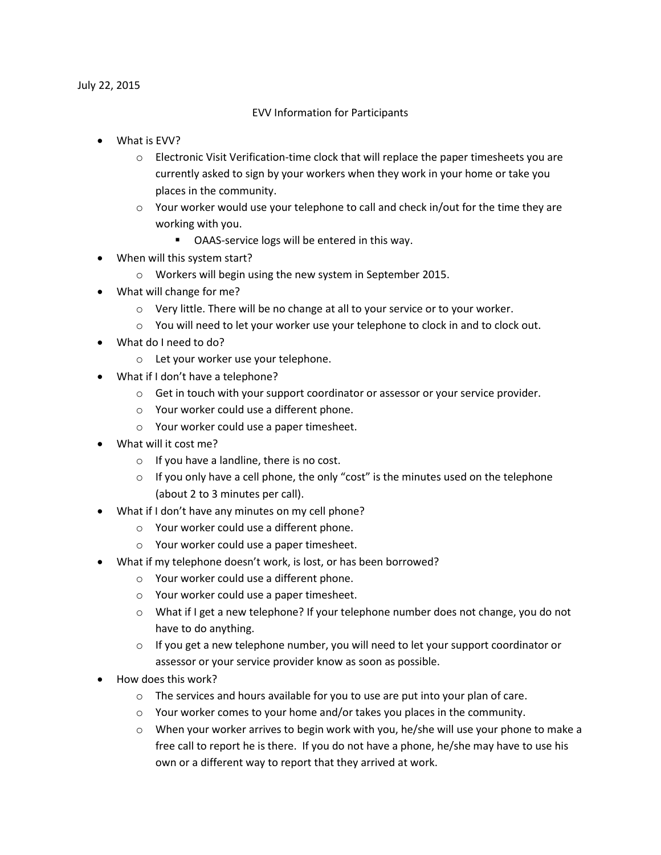July 22, 2015

## EVV Information for Participants

- What is EVV?
	- o Electronic Visit Verification-time clock that will replace the paper timesheets you are currently asked to sign by your workers when they work in your home or take you places in the community.
	- $\circ$  Your worker would use your telephone to call and check in/out for the time they are working with you.
		- OAAS-service logs will be entered in this way.
- When will this system start?
	- o Workers will begin using the new system in September 2015.
- What will change for me?
	- o Very little. There will be no change at all to your service or to your worker.
	- $\circ$  You will need to let your worker use your telephone to clock in and to clock out.
- What do I need to do?
	- o Let your worker use your telephone.
- What if I don't have a telephone?
	- $\circ$  Get in touch with your support coordinator or assessor or your service provider.
	- o Your worker could use a different phone.
	- o Your worker could use a paper timesheet.
- What will it cost me?
	- o If you have a landline, there is no cost.
	- $\circ$  If you only have a cell phone, the only "cost" is the minutes used on the telephone (about 2 to 3 minutes per call).
- What if I don't have any minutes on my cell phone?
	- o Your worker could use a different phone.
	- o Your worker could use a paper timesheet.
- What if my telephone doesn't work, is lost, or has been borrowed?
	- o Your worker could use a different phone.
	- o Your worker could use a paper timesheet.
	- o What if I get a new telephone? If your telephone number does not change, you do not have to do anything.
	- $\circ$  If you get a new telephone number, you will need to let your support coordinator or assessor or your service provider know as soon as possible.
- How does this work?
	- $\circ$  The services and hours available for you to use are put into your plan of care.
	- o Your worker comes to your home and/or takes you places in the community.
	- $\circ$  When your worker arrives to begin work with you, he/she will use your phone to make a free call to report he is there. If you do not have a phone, he/she may have to use his own or a different way to report that they arrived at work.